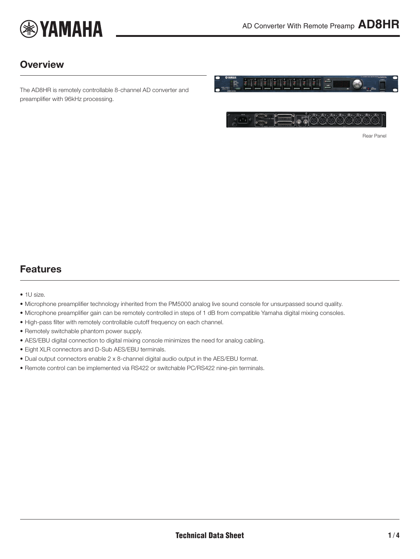

### **Overview**

The AD8HR is remotely controllable 8-channel AD converter and preamplifier with 96kHz processing.



 $7700$ <u> La Cooooo</u>

<span id="page-0-0"></span>Rear Panel

### Features

- 1U size.
- Microphone preamplifier technology inherited from the PM5000 analog live sound console for unsurpassed sound quality.
- Microphone preamplifier gain can be remotely controlled in steps of 1 dB from compatible Yamaha digital mixing consoles.
- High-pass filter with remotely controllable cutoff frequency on each channel.
- Remotely switchable phantom power supply.
- AES/EBU digital connection to digital mixing console minimizes the need for analog cabling.
- Eight XLR connectors and D-Sub AES/EBU terminals.
- Dual output connectors enable 2 x 8-channel digital audio output in the AES/EBU format.
- Remote control can be implemented via RS422 or switchable PC/RS422 nine-pin terminals.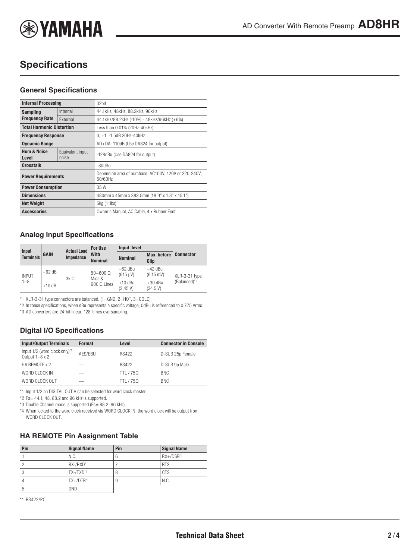

# **Specifications**

#### **General Specifications**

| <b>Internal Processing</b>       |                           | 32bit                                                            |  |
|----------------------------------|---------------------------|------------------------------------------------------------------|--|
| <b>Sampling</b>                  | Internal                  | 44.1kHz, 48kHz, 88.2kHz, 96kHz                                   |  |
| <b>Frequency Rate</b>            | External                  | 44.1kHz/88.2kHz (-10%) - 48kHz/96kHz (+6%)                       |  |
| <b>Total Harmonic Distortion</b> |                           | Less than 0.01% (20Hz-40kHz)                                     |  |
| <b>Frequency Response</b>        |                           | $0, +1, -1.5dB$ 20Hz-40kHz                                       |  |
| <b>Dynamic Range</b>             |                           | AD+DA: 110dB (Use DA824 for output)                              |  |
| <b>Hum &amp; Noise</b><br>Level  | Equivalent input<br>noise | -128dBu (Use DA824 for output)                                   |  |
| <b>Crosstalk</b>                 |                           | -80dBu                                                           |  |
| <b>Power Requirements</b>        |                           | Depend on area of purchase; AC100V, 120V or 220-240V;<br>50/60Hz |  |
| <b>Power Consumption</b>         |                           | 35 W                                                             |  |
| <b>Dimensions</b>                |                           | 480mm x 45mm x 383.5mm (18.9" x 1.8" x 15.1")                    |  |
| <b>Net Weight</b>                |                           | 5kg (11lbs)                                                      |  |
| <b>Accessories</b>               |                           | Owner's Manual, AC Cable, 4 x Rubber Foot                        |  |

#### **Analog Input Specifications**

|                           |             | <b>Actual Load</b> | <b>For Use</b>                                    | Input level                     |                                  |                               |
|---------------------------|-------------|--------------------|---------------------------------------------------|---------------------------------|----------------------------------|-------------------------------|
| Input<br><b>Terminals</b> | <b>GAIN</b> | <b>Impedance</b>   | With<br><b>Nominal</b>                            | <b>Nominal</b>                  | Max. before<br><b>Clip</b>       | <b>Connector</b>              |
| <b>INPUT</b><br>$1 - 8$   | $-62$ dB    | $3k\Omega$         | $50 - 600 \Omega$<br>Mics &<br>$600 \Omega$ Lines | $-62$ dBu<br>$(615 \text{ uV})$ | $-42$ dBu<br>$(6.15 \text{ mV})$ | XLR-3-31 type<br>(Balanced)*1 |
|                           | $+10$ dB    |                    |                                                   | $+10$ dBu<br>(2.45 V)           | $+30$ dBu<br>(24.5 V)            |                               |

\*1 XLR-3-31 type connectors are balanced. (1=GND, 2=HOT, 3=COLD)

\*2 In these specifications, when dBu represents a specific voltage, 0dBu is referenced to 0.775 Vrms.

\*3 AD converters are 24-bit linear, 128-times oversampling.

### **Digital I/O Specifications**

| <b>Input/Output Terminals</b>                          | Format  | Level        | <b>Connector in Console</b> |
|--------------------------------------------------------|---------|--------------|-----------------------------|
| Input 1/2 (word clock only)*1<br>Output $1-8 \times 2$ | AFS/FBU | <b>RS422</b> | D-SUB 25p Female            |
| HA REMOTE x 2                                          |         | <b>RS422</b> | D-SUB 9p Male               |
| WORD CLOCK IN                                          |         | TTI / 750    | <b>BNC</b>                  |
| WORD CLOCK OUT                                         |         | TTI / 750    | <b>BNC</b>                  |

\*1 Input 1/2 on DIGITAL OUT A can be selected for word clock master.

 $*2$  Fs= 44.1, 48, 88.2 and 96 kHz is supported.

\*3 Double Channel mode is supported (Fs= 88.2, 96 kHz).

\*4 When locked to the word clock received via WORD CLOCK IN, the word clock will be output from WORD CLOCK OUT.

#### **HA REMOTE Pin Assignment Table**

| Pin | <b>Signal Name</b>    | Pin | <b>Signal Name</b> |
|-----|-----------------------|-----|--------------------|
|     | N.C.                  | 6   | $RX+/DSR^{*1}$     |
|     | RX-/RXD*1             |     | <b>RTS</b>         |
|     | TX-/TXD <sup>*1</sup> | 8   | <b>CTS</b>         |
|     | $TX+/DTR^{*1}$        | 9   | N.C.               |
| 5   | GND                   |     |                    |

\*1 RS422/PC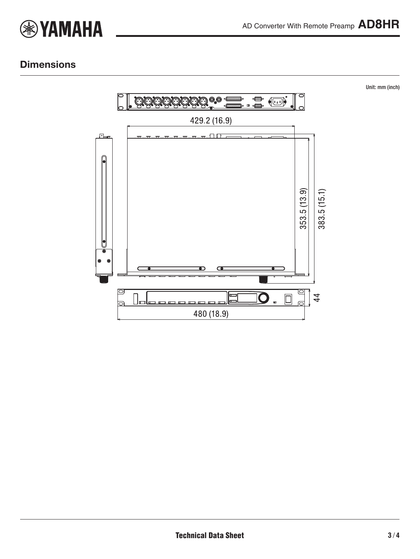

Unit: mm (inch)

## **Dimensions**